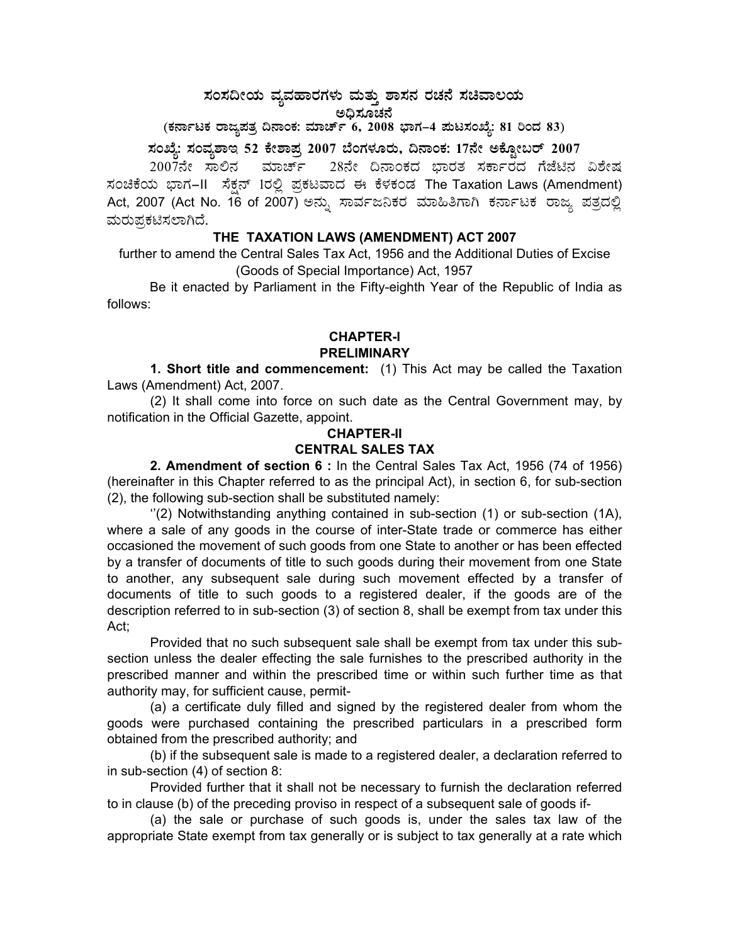## ಸಂಸದೀಯ ವ್ಯವಹಾರಗಳು ಮತ್ತು ಶಾಸನ ರಚನೆ ಸಚಿವಾಲಯ<br>೧೯೩<del>೭ ಕನ್ನಡ</del> ಅಧಿಸೂಚನೆ<br>`

### (ಕರ್ನಾಟಕ ರಾಜ್ಯಪತ್ರ ದಿನಾಂಕ: ಮಾರ್ಚ್ 6, 2008 ಭಾಗ–4 **ಪುಟಸಂಖ್ಯೆ: 81 ರಿಂದ 83)**

# **¸ÀASÉå: ¸ÀAªÀå±ÁE 52 PÉñÁ¥Àæ 2007 ¨ÉAUÀ¼ÀÆgÀÄ, ¢£ÁAPÀ: 17£Éà CPÉÆÖçgï 2007**

2007ನೇ ಸಾಲಿನ ಮಾರ್ಚ್ 28ನೇ ದಿನಾಂಕದ ಭಾರತ ಸರ್ಕಾರದ ಗೆಜೆಟಿನ ವಿಶೇಷ  $\vec{x}$ ಂಚಿಕೆಯ ಭಾಗ–II ಸೆಕ್ಷನ್ 1ರಲ್ಲಿ ಪ್ರಕಟವಾದ ಈ ಕೆಳಕಂಡ The Taxation Laws (Amendment) Act, 2007 (Act No. 16 of 2007) ಅನ್ನು ಸಾರ್ವಜನಿಕರ ಮಾಹಿತಿಗಾಗಿ ಕರ್ನಾಟಕ ರಾಜ್ಯ ಪತ್ರದಲ್ಲಿ ಮರುಪ್ರಕಟಿಸಲಾಗಿದೆ.

#### **THE TAXATION LAWS (AMENDMENT) ACT 2007**

further to amend the Central Sales Tax Act, 1956 and the Additional Duties of Excise (Goods of Special Importance) Act, 1957

 Be it enacted by Parliament in the Fifty-eighth Year of the Republic of India as follows:

#### **CHAPTER-I PRELIMINARY**

**1. Short title and commencement:** (1) This Act may be called the Taxation Laws (Amendment) Act, 2007.

(2) It shall come into force on such date as the Central Government may, by notification in the Official Gazette, appoint.

#### **CHAPTER-II CENTRAL SALES TAX**

**2. Amendment of section 6 :** In the Central Sales Tax Act, 1956 (74 of 1956) (hereinafter in this Chapter referred to as the principal Act), in section 6, for sub-section (2), the following sub-section shall be substituted namely:

 $''(2)$  Notwithstanding anything contained in sub-section  $(1)$  or sub-section  $(1A)$ , where a sale of any goods in the course of inter-State trade or commerce has either occasioned the movement of such goods from one State to another or has been effected by a transfer of documents of title to such goods during their movement from one State to another, any subsequent sale during such movement effected by a transfer of documents of title to such goods to a registered dealer, if the goods are of the description referred to in sub-section (3) of section 8, shall be exempt from tax under this Act;

Provided that no such subsequent sale shall be exempt from tax under this subsection unless the dealer effecting the sale furnishes to the prescribed authority in the prescribed manner and within the prescribed time or within such further time as that authority may, for sufficient cause, permit-

(a) a certificate duly filled and signed by the registered dealer from whom the goods were purchased containing the prescribed particulars in a prescribed form obtained from the prescribed authority; and

(b) if the subsequent sale is made to a registered dealer, a declaration referred to in sub-section (4) of section 8:

Provided further that it shall not be necessary to furnish the declaration referred to in clause (b) of the preceding proviso in respect of a subsequent sale of goods if-

(a) the sale or purchase of such goods is, under the sales tax law of the appropriate State exempt from tax generally or is subject to tax generally at a rate which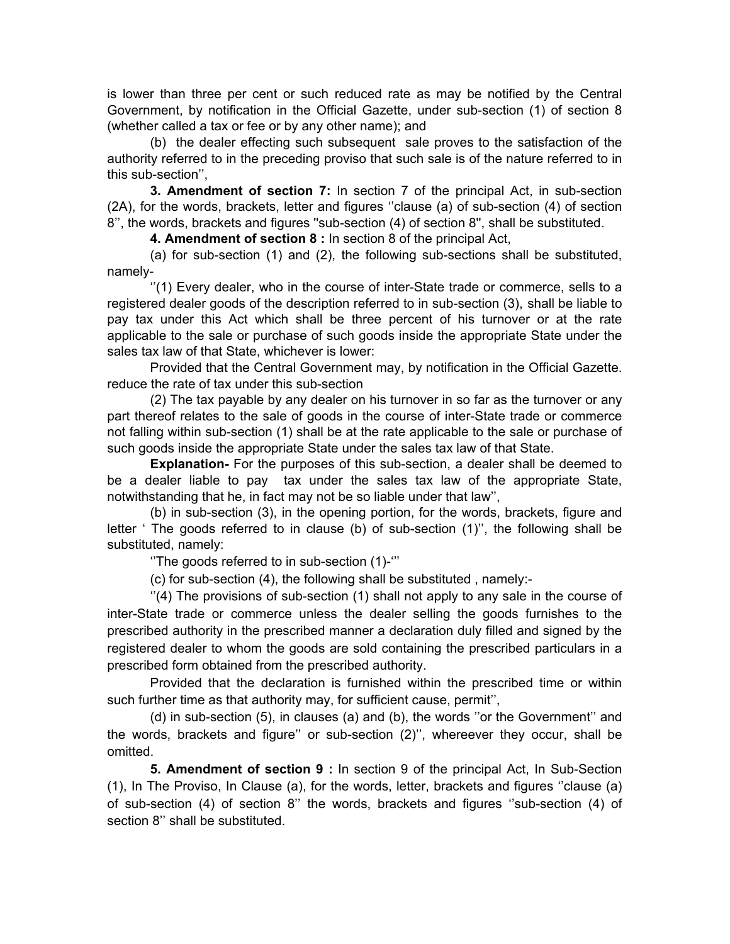is lower than three per cent or such reduced rate as may be notified by the Central Government, by notification in the Official Gazette, under sub-section (1) of section 8 (whether called a tax or fee or by any other name); and

(b) the dealer effecting such subsequent sale proves to the satisfaction of the authority referred to in the preceding proviso that such sale is of the nature referred to in this sub-section'',

**3. Amendment of section 7:** In section 7 of the principal Act, in sub-section (2A), for the words, brackets, letter and figures ''clause (a) of sub-section (4) of section 8'', the words, brackets and figures ''sub-section (4) of section 8'', shall be substituted.

**4. Amendment of section 8 :** In section 8 of the principal Act,

(a) for sub-section (1) and (2), the following sub-sections shall be substituted, namely-

 ''(1) Every dealer, who in the course of inter-State trade or commerce, sells to a registered dealer goods of the description referred to in sub-section (3), shall be liable to pay tax under this Act which shall be three percent of his turnover or at the rate applicable to the sale or purchase of such goods inside the appropriate State under the sales tax law of that State, whichever is lower:

Provided that the Central Government may, by notification in the Official Gazette. reduce the rate of tax under this sub-section

(2) The tax payable by any dealer on his turnover in so far as the turnover or any part thereof relates to the sale of goods in the course of inter-State trade or commerce not falling within sub-section (1) shall be at the rate applicable to the sale or purchase of such goods inside the appropriate State under the sales tax law of that State.

**Explanation-** For the purposes of this sub-section, a dealer shall be deemed to be a dealer liable to pay tax under the sales tax law of the appropriate State, notwithstanding that he, in fact may not be so liable under that law'',

(b) in sub-section (3), in the opening portion, for the words, brackets, figure and letter ' The goods referred to in clause (b) of sub-section (1)'', the following shall be substituted, namely:

''The goods referred to in sub-section (1)-'''

(c) for sub-section (4), the following shall be substituted , namely:-

 $'(4)$  The provisions of sub-section  $(1)$  shall not apply to any sale in the course of inter-State trade or commerce unless the dealer selling the goods furnishes to the prescribed authority in the prescribed manner a declaration duly filled and signed by the registered dealer to whom the goods are sold containing the prescribed particulars in a prescribed form obtained from the prescribed authority.

Provided that the declaration is furnished within the prescribed time or within such further time as that authority may, for sufficient cause, permit'',

(d) in sub-section (5), in clauses (a) and (b), the words ''or the Government'' and the words, brackets and figure'' or sub-section (2)'', whereever they occur, shall be omitted.

**5. Amendment of section 9 :** In section 9 of the principal Act, In Sub-Section (1), In The Proviso, In Clause (a), for the words, letter, brackets and figures ''clause (a) of sub-section (4) of section 8'' the words, brackets and figures ''sub-section (4) of section 8" shall be substituted.